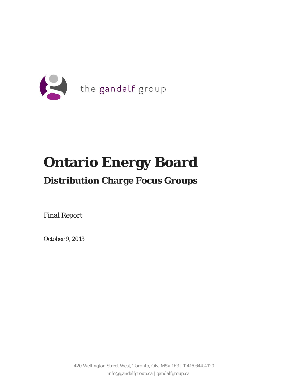

# **Ontario Energy Board**

# **Distribution Charge Focus Groups**

*Final Report*

October 9, 2013

420 Wellington Street West, Toronto, ON, M5V 1E3 | T 416.644.4120 info@gandalfgroup.ca | gandalfgroup.ca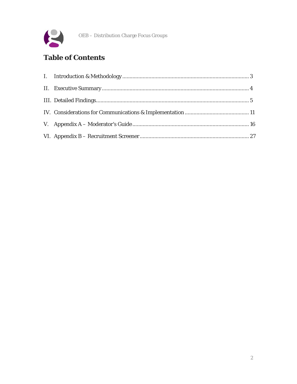

### **Table of Contents**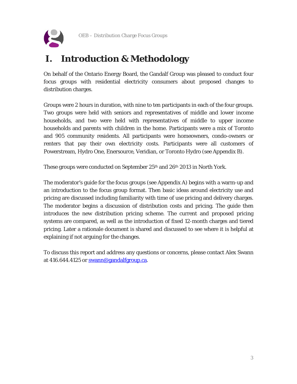

# <span id="page-2-0"></span>**I. Introduction & Methodology**

On behalf of the Ontario Energy Board, the Gandalf Group was pleased to conduct four focus groups with residential electricity consumers about proposed changes to distribution charges.

Groups were 2 hours in duration, with nine to ten participants in each of the four groups. Two groups were held with seniors and representatives of middle and lower income households, and two were held with representatives of middle to upper income households and parents with children in the home. Participants were a mix of Toronto and 905 community residents. All participants were homeowners, condo-owners or renters that pay their own electricity costs. Participants were all customers of Powerstream, Hydro One, Enersource, Veridian, or Toronto Hydro (see Appendix B).

These groups were conducted on September 25<sup>th</sup> and 26<sup>th</sup> 2013 in North York.

The moderator's guide for the focus groups (see Appendix A) begins with a warm-up and an introduction to the focus group format. Then basic ideas around electricity use and pricing are discussed including familiarity with time of use pricing and delivery charges. The moderator begins a discussion of distribution costs and pricing. The guide then introduces the new distribution pricing scheme. The current and proposed pricing systems are compared, as well as the introduction of fixed 12-month charges and tiered pricing. Later a rationale document is shared and discussed to see where it is helpful at explaining if not arguing for the changes.

To discuss this report and address any questions or concerns, please contact Alex Swann at 416.644.4125 or [swann@gandalfgroup.ca.](mailto:swann@gandalfgroup.ca)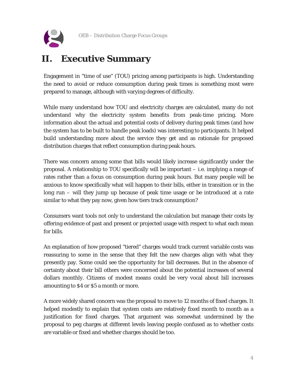

# <span id="page-3-0"></span>**II. Executive Summary**

Engagement in "time of use" (TOU) pricing among participants is high. Understanding the need to avoid or reduce consumption during peak times is something most were prepared to manage, although with varying degrees of difficulty.

While many understand how TOU and electricity charges are calculated, many do not understand why the electricity system benefits from peak-time pricing. More information about the actual and potential costs of delivery during peak times (and how the system has to be built to handle peak loads) was interesting to participants. It helped build understanding more about the service they get and as rationale for proposed distribution charges that reflect consumption during peak hours.

There was concern among some that bills would likely increase significantly under the proposal. A relationship to TOU specifically will be important – i.e. implying a range of rates rather than a focus on consumption during peak hours. But many people will be anxious to know specifically what will happen to their bills, either in transition or in the long run – will they jump up because of peak time usage or be introduced at a rate similar to what they pay now, given how tiers track consumption?

Consumers want tools not only to understand the calculation but manage their costs by offering evidence of past and present or projected usage with respect to what each mean for bills.

An explanation of how proposed "tiered" charges would track current variable costs was reassuring to some in the sense that they felt the new charges align with what they presently pay. Some could see the opportunity for bill decreases. But in the absence of certainty about their bill others were concerned about the potential increases of several dollars monthly. Citizens of modest means could be very vocal about bill increases amounting to \$4 or \$5 a month or more.

A more widely shared concern was the proposal to move to 12 months of fixed charges. It helped modestly to explain that system costs are relatively fixed month to month as a justification for fixed charges. That argument was somewhat undermined by the proposal to peg charges at different levels leaving people confused as to whether costs are variable or fixed and whether charges should be too.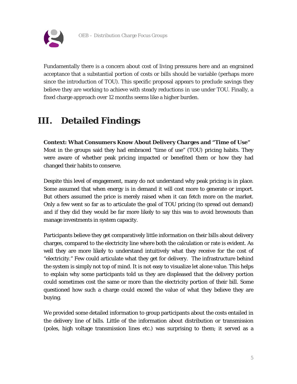

Fundamentally there is a concern about cost of living pressures here and an engrained acceptance that a substantial portion of costs or bills should be variable (perhaps more since the introduction of TOU). This specific proposal appears to preclude savings they believe they are working to achieve with steady reductions in use under TOU. Finally, a fixed charge approach over 12 months seems like a higher burden.

## <span id="page-4-0"></span>**III. Detailed Findings**

**Context: What Consumers Know About Delivery Charges and "Time of Use"**  Most in the groups said they had embraced "time of use" (TOU) pricing habits. They were aware of whether peak pricing impacted or benefited them or how they had changed their habits to conserve.

Despite this level of engagement, many do not understand why peak pricing is in place. Some assumed that when energy is in demand it will cost more to generate or import. But others assumed the price is merely raised when it can fetch more on the market. Only a few went so far as to articulate the goal of TOU pricing (to spread out demand) and if they did they would be far more likely to say this was to avoid brownouts than manage investments in system capacity.

Participants believe they get comparatively little information on their bills about delivery charges, compared to the electricity line where both the calculation or rate is evident. As well they are more likely to understand intuitively what they receive for the cost of "electricity." Few could articulate what they get for delivery. The infrastructure behind the system is simply not top of mind. It is not easy to visualize let alone value. This helps to explain why some participants told us they are displeased that the delivery portion could sometimes cost the same or more than the electricity portion of their bill. Some questioned how such a charge could exceed the value of what they believe they are buying.

We provided some detailed information to group participants about the costs entailed in the delivery line of bills. Little of the information about distribution or transmission (poles, high voltage transmission lines etc.) was surprising to them; it served as a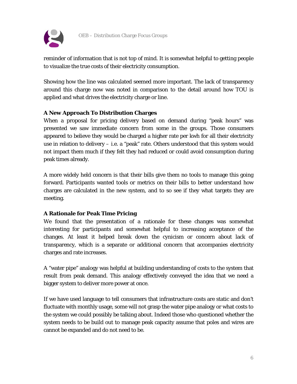

reminder of information that is not top of mind. It is somewhat helpful to getting people to visualize the true costs of their electricity consumption.

Showing how the line was calculated seemed more important. The lack of transparency around this charge now was noted in comparison to the detail around how TOU is applied and what drives the electricity charge or line.

#### **A New Approach To Distribution Charges**

When a proposal for pricing delivery based on demand during "peak hours" was presented we saw immediate concern from some in the groups. Those consumers appeared to believe they would be charged a higher rate per kwh for all their electricity use in relation to delivery – i.e. a "peak" rate. Others understood that this system would not impact them much if they felt they had reduced or could avoid consumption during peak times already.

A more widely held concern is that their bills give them no tools to manage this going forward. Participants wanted tools or metrics on their bills to better understand how charges are calculated in the new system, and to so see if they what targets they are meeting.

#### **A Rationale for Peak Time Pricing**

We found that the presentation of a rationale for these changes was somewhat interesting for participants and somewhat helpful to increasing acceptance of the changes. At least it helped break down the cynicism or concern about lack of transparency, which is a separate or additional concern that accompanies electricity charges and rate increases.

A "water pipe" analogy was helpful at building understanding of costs to the system that result from peak demand. This analogy effectively conveyed the idea that we need a bigger system to deliver more power at once.

If we have used language to tell consumers that infrastructure costs are static and don't fluctuate with monthly usage, some will not grasp the water pipe analogy or what costs to the system we could possibly be talking about. Indeed those who questioned whether the system needs to be build out to manage peak capacity assume that poles and wires are cannot be expanded and do not need to be.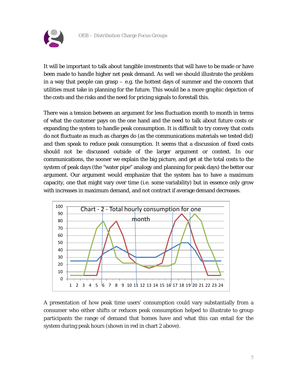

It will be important to talk about tangible investments that will have to be made or have been made to handle higher net peak demand. As well we should illustrate the problem in a way that people can grasp – e.g. the hottest days of summer and the concern that utilities must take in planning for the future. This would be a more graphic depiction of the costs and the risks and the need for pricing signals to forestall this.

There was a tension between an argument for less fluctuation month to month in terms of what the customer pays on the one hand and the need to talk about future costs or expanding the system to handle peak consumption. It is difficult to try convey that costs do not fluctuate as much as charges do (as the communications materials we tested did) and then speak to reduce peak consumption. It seems that a discussion of fixed costs should not be discussed outside of the larger argument or context. In our communications, the sooner we explain the big picture, and get at the total costs to the system of peak days (the "water pipe" analogy and planning for peak days) the better our argument. Our argument would emphasize that the system has to have a maximum capacity, one that might vary over time (i.e. some variability) but in essence only grow with increases in maximum demand, and not contract if average demand decreases.



A presentation of how peak time users' consumption could vary substantially from a consumer who either shifts or reduces peak consumption helped to illustrate to group participants the range of demand that homes have and what this can entail for the system during peak hours (shown in red in chart 2 above).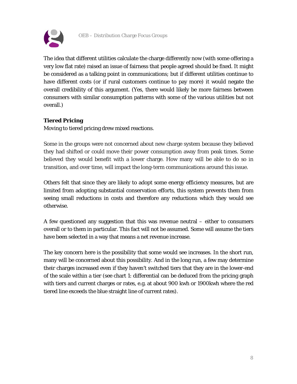

The idea that different utilities calculate the charge differently now (with some offering a very low flat rate) raised an issue of fairness that people agreed should be fixed. It might be considered as a talking point in communications; but if different utilities continue to have different costs (or if rural customers continue to pay more) it would negate the overall credibility of this argument. (Yes, there would likely be more fairness between consumers with similar consumption patterns with some of the various utilities but not overall.)

#### **Tiered Pricing**

Moving to tiered pricing drew mixed reactions.

Some in the groups were not concerned about new charge system because they believed they had shifted or could move their power consumption away from peak times. Some believed they would benefit with a lower charge. How many will be able to do so in transition, and over time, will impact the long-term communications around this issue.

Others felt that since they are likely to adopt some energy efficiency measures, but are limited from adopting substantial conservation efforts, this system prevents them from seeing small reductions in costs and therefore any reductions which they would see otherwise.

A few questioned any suggestion that this was revenue neutral – either to consumers overall or to them in particular. This fact will not be assumed. Some will assume the tiers have been selected in a way that means a net revenue increase.

The key concern here is the possibility that some would see increases. In the short run, many will be concerned about this possibility. And in the long run, a few may determine their charges increased even if they haven't switched tiers that they are in the lower-end of the scale within a tier (see chart 1: differential can be deduced from the pricing graph with tiers and current charges or rates, e.g. at about 900 kwh or 1900kwh where the red tiered line exceeds the blue straight line of current rates).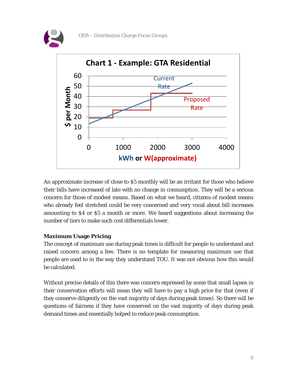



An approximate increase of close to \$5 monthly will be an irritant for those who believe their bills have increased of late with no change in consumption. They will be a serious concern for those of modest means. Based on what we heard, citizens of modest means who already feel stretched could be very concerned and very vocal about bill increases amounting to \$4 or \$5 a month or more. We heard suggestions about increasing the number of tiers to make such cost differentials lower.

#### **Maximum Usage Pricing**

The concept of maximum use during peak times is difficult for people to understand and raised concern among a few. There is no template for measuring maximum use that people are used to in the way they understand TOU. It was not obvious how this would be calculated.

Without precise details of this there was concern expressed by some that small lapses in their conservation efforts will mean they will have to pay a high price for that (even if they conserve diligently on the vast majority of days during peak times). So there will be questions of fairness if they have conserved on the vast majority of days during peak demand times and essentially helped to reduce peak consumption.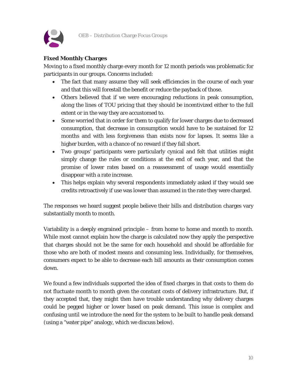

#### **Fixed Monthly Charges**

Moving to a fixed monthly charge every month for 12 month periods was problematic for participants in our groups. Concerns included:

- The fact that many assume they will seek efficiencies in the course of each year and that this will forestall the benefit or reduce the payback of those.
- Others believed that if we were encouraging reductions in peak consumption, along the lines of TOU pricing that they should be incentivized either to the full extent or in the way they are accustomed to.
- Some worried that in order for them to qualify for lower charges due to decreased consumption, that decrease in consumption would have to be sustained for 12 months and with less forgiveness than exists now for lapses. It seems like a higher burden, with a chance of no reward if they fall short.
- Two groups' participants were particularly cynical and felt that utilities might simply change the rules or conditions at the end of each year, and that the promise of lower rates based on a reassessment of usage would essentially disappear with a rate increase.
- This helps explain why several respondents immediately asked if they would see credits retroactively if use was lower than assumed in the rate they were charged.

The responses we heard suggest people believe their bills and distribution charges vary substantially month to month.

Variability is a deeply engrained principle – from home to home and month to month. While most cannot explain how the charge is calculated now they apply the perspective that charges should not be the same for each household and should be affordable for those who are both of modest means and consuming less. Individually, for themselves, consumers expect to be able to decrease each bill amounts as their consumption comes down.

We found a few individuals supported the idea of fixed charges in that costs to them do not fluctuate month to month given the constant costs of delivery infrastructure. But, if they accepted that, they might then have trouble understanding why delivery charges could be pegged higher or lower based on peak demand. This issue is complex and confusing until we introduce the need for the system to be built to handle peak demand (using a "water pipe" analogy, which we discuss below).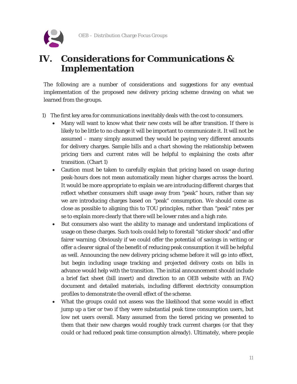

### <span id="page-10-0"></span>**IV. Considerations for Communications & Implementation**

The following are a number of considerations and suggestions for any eventual implementation of the proposed new delivery pricing scheme drawing on what we learned from the groups.

- 1) The first key area for communications inevitably deals with the cost to consumers.
	- Many will want to know what their new costs will be after transition. If there is likely to be little to no change it will be important to communicate it. It will not be assumed – many simply assumed they would be paying very different amounts for delivery charges. Sample bills and a chart showing the relationship between pricing tiers and current rates will be helpful to explaining the costs after transition. (Chart 1)
	- Caution must be taken to carefully explain that pricing based on usage during peak-hours does not mean automatically mean higher charges across the board. It would be more appropriate to explain we are introducing different charges that reflect whether consumers shift usage away from "peak" hours, rather than say we are introducing charges based on "peak" consumption. We should come as close as possible to aligning this to TOU principles, rather than "peak" rates per se to explain more clearly that there will be lower rates and a high rate.
	- But consumers also want the ability to manage and understand implications of usage on these charges. Such tools could help to forestall "sticker shock" and offer fairer warning. Obviously if we could offer the potential of savings in writing or offer a clearer signal of the benefit of reducing peak consumption it will be helpful as well. Announcing the new delivery pricing scheme before it will go into effect, but begin including usage tracking and projected delivery costs on bills in advance would help with the transition. The initial announcement should include a brief fact sheet (bill insert) and direction to an OEB website with an FAQ document and detailed materials, including different electricity consumption profiles to demonstrate the overall effect of the scheme.
	- What the groups could not assess was the likelihood that some would in effect jump up a tier or two if they were substantial peak time consumption users, but low net users overall. Many assumed from the tiered pricing we presented to them that their new charges would roughly track current charges (or that they could or had reduced peak time consumption already). Ultimately, where people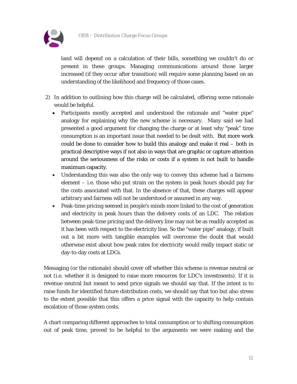

land will depend on a calculation of their bills, something we couldn't do or present in these groups. Managing communications around those larger increased (if they occur after transition) will require some planning based on an understanding of the likelihood and frequency of those cases.

- 2) In addition to outlining how this charge will be calculated, offering some rationale would be helpful.
	- Participants mostly accepted and understood the rationale and "water pipe" analogy for explaining why the new scheme is necessary. Many said we had presented a good argument for changing the charge or at least why "peak" time consumption is an important issue that needed to be dealt with. But more work could be done to consider how to build this analogy and make it real – both in practical descriptive ways if not also in ways that are graphic or capture attention around the seriousness of the risks or costs if a system is not built to handle maximum capacity.
	- Understanding this was also the only way to convey this scheme had a fairness element – i.e. those who put strain on the system in peak hours should pay for the costs associated with that. In the absence of that, these charges will appear arbitrary and fairness will not be understood or assumed in any way.
	- Peak-time pricing seemed in people's minds more linked to the cost of generation and electricity in peak hours than the delivery costs of an LDC. The relation between peak-time pricing and the delivery line may not be as readily accepted as it has been with respect to the electricity line. So the "water pipe" analogy, if built out a bit more with tangible examples will overcome the doubt that would otherwise exist about how peak rates for electricity would really impact static or day-to-day costs at LDCs.

Messaging (or the rationale) should cover off whether this scheme is revenue neutral or not (i.e. whether it is designed to raise more resources for LDC's investments). If it is revenue neutral but meant to send price signals we should say that. If the intent is to raise funds for identified future distribution costs, we should say that too but also stress to the extent possible that this offers a price signal with the capacity to help contain escalation of those system costs.

A chart comparing different approaches to total consumption or to shifting consumption out of peak time, proved to be helpful to the arguments we were making and the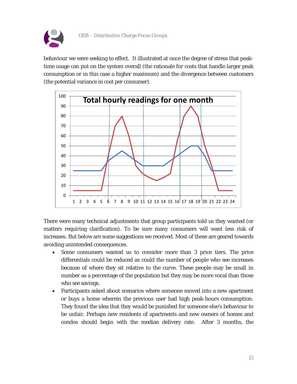

behaviour we were seeking to effect. It illustrated at once the degree of stress that peaktime usage can put on the system overall (the rationale for costs that handle larger peak consumption or in this case a higher maximum) and the divergence between customers (the potential variance in cost per consumer).



There were many technical adjustments that group participants told us they wanted (or matters requiring clarification). To be sure many consumers will want less risk of increases. But below are some suggestions we received. Most of these are geared towards avoiding unintended consequences.

- Some consumers wanted us to consider more than 3 price tiers. The price differentials could be reduced as could the number of people who see increases because of where they sit relative to the curve. These people may be small in number as a percentage of the population but they may be more vocal than those who see savings.
- Participants asked about scenarios where someone moved into a new apartment or buys a home wherein the previous user had high peak-hours consumption. They found the idea that they would be punished for someone else's behaviour to be unfair. Perhaps new residents of apartments and new owners of homes and condos should begin with the median delivery rate. After 3 months, the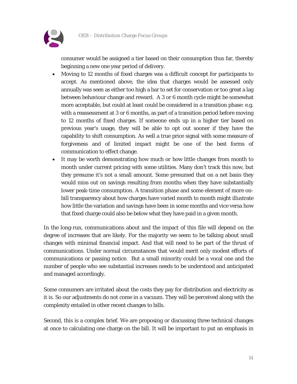

consumer would be assigned a tier based on their consumption thus far, thereby beginning a new one year period of delivery.

- Moving to 12 months of fixed charges was a difficult concept for participants to accept. As mentioned above, the idea that charges would be assessed only annually was seen as either too high a bar to set for conservation or too great a lag between behaviour change and reward. A 3 or 6 month cycle might be somewhat more acceptable, but could at least could be considered in a transition phase: e.g. with a reassessment at 3 or 6 months, as part of a transition period before moving to 12 months of fixed charges. If someone ends up in a higher tier based on previous year's usage, they will be able to opt out sooner if they have the capability to shift consumption. As well a true price signal with some measure of forgiveness and of limited impact might be one of the best forms of communication to effect change.
- It may be worth demonstrating how much or how little changes from month to month under current pricing with some utilities. Many don't track this now, but they presume it's not a small amount. Some presumed that on a net basis they would miss out on savings resulting from months when they have substantially lower peak-time consumption. A transition phase and some element of more onbill transparency about how charges have varied month to month might illustrate how little the variation and savings have been in some months and vice versa how that fixed charge could also be below what they have paid in a given month.

In the long-run, communications about and the impact of this file will depend on the degree of increases that are likely. For the majority we seem to be talking about small changes with minimal financial impact. And that will need to be part of the thrust of communications. Under normal circumstances that would merit only modest efforts of communications or passing notice. But a small minority could be a vocal one and the number of people who see substantial increases needs to be understood and anticipated and managed accordingly.

Some consumers are irritated about the costs they pay for distribution and electricity as it is. So our adjustments do not come in a vacuum. They will be perceived along with the complexity entailed in other recent changes to bills.

Second, this is a complex brief. We are proposing or discussing three technical changes at once to calculating one charge on the bill. It will be important to put an emphasis in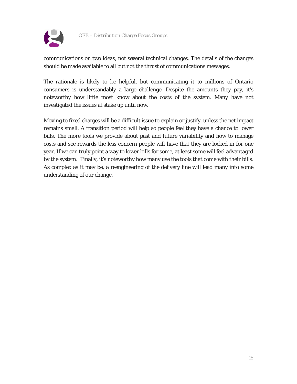

communications on two ideas, not several technical changes. The details of the changes should be made available to all but not the thrust of communications messages.

The rationale is likely to be helpful, but communicating it to millions of Ontario consumers is understandably a large challenge. Despite the amounts they pay, it's noteworthy how little most know about the costs of the system. Many have not investigated the issues at stake up until now.

Moving to fixed charges will be a difficult issue to explain or justify, unless the net impact remains small. A transition period will help so people feel they have a chance to lower bills. The more tools we provide about past and future variability and how to manage costs and see rewards the less concern people will have that they are locked in for one year. If we can truly point a way to lower bills for some, at least some will feel advantaged by the system. Finally, it's noteworthy how many use the tools that come with their bills. As complex as it may be, a reengineering of the delivery line will lead many into some understanding of our change.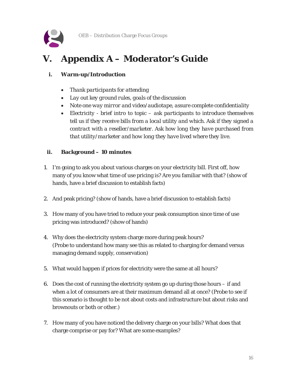

# <span id="page-15-0"></span>**V. Appendix A – Moderator's Guide**

#### **i. Warm-up/Introduction**

- *Thank participants for attending*
- *Lay out key ground rules, goals of the discussion*
- *Note one way mirror and video/audiotape, assure complete confidentiality*
- *Electricity - brief intro to topic – ask participants to introduce themselves tell us if they receive bills from a local utility and which. Ask if they signed a contract with a reseller/marketer. Ask how long they have purchased from that utility/marketer and how long they have lived where they live.*

#### **ii. Background – 10 minutes**

- 1. I'm going to ask you about various charges on your electricity bill. First off, how many of you know what time of use pricing is? Are you familiar with that? (show of hands, have a brief discussion to establish facts)
- 2. And peak pricing? (show of hands, have a brief discussion to establish facts)
- 3. How many of you have tried to reduce your peak consumption since time of use pricing was introduced? (show of hands)
- 4. Why does the electricity system charge more during peak hours? (Probe to understand how many see this as related to charging for demand versus managing demand supply, conservation)
- 5. What would happen if prices for electricity were the same at all hours?
- 6. Does the cost of running the electricity system go up during those hours if and when a lot of consumers are at their maximum demand all at once? (Probe to see if this scenario is thought to be not about costs and infrastructure but about risks and brownouts or both or other.)
- 7. How many of you have noticed the delivery charge on your bills? What does that charge comprise or pay for? What are some examples?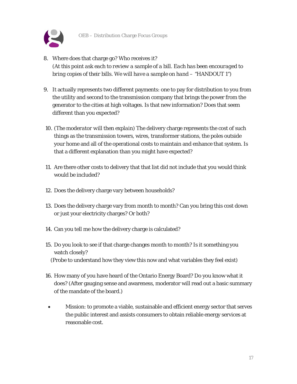

- 8. Where does that charge go? Who receives it? *(At this point ask each to review a sample of a bill. Each has been encouraged to bring copies of their bills. We will have a sample on hand – "HANDOUT 1")*
- 9. It actually represents two different payments: one to pay for distribution to you from the utility and second to the transmission company that brings the power from the generator to the cities at high voltages. Is that new information? Does that seem different than you expected?
- 10. *(The moderator will then explain)* The delivery charge represents the cost of such things as the transmission towers, wires, transformer stations, the poles outside your home and all of the operational costs to maintain and enhance that system. Is that a different explanation than you might have expected?
- 11. Are there other costs to delivery that that list did not include that you would think would be included?
- 12. Does the delivery charge vary between households?
- 13. Does the delivery charge vary from month to month? Can you bring this cost down or just your electricity charges? Or both?
- 14. Can you tell me how the delivery charge is calculated?
- 15. Do you look to see if that charge changes month to month? Is it something you watch closely? (Probe to understand how they view this now and what variables they feel exist)
- 16. How many of you have heard of the Ontario Energy Board? Do you know what it does? (After gauging sense and awareness, moderator will read out a basic summary of the mandate of the board.)
- Mission: to promote a viable, sustainable and efficient energy sector that serves the public interest and assists consumers to obtain reliable energy services at reasonable cost.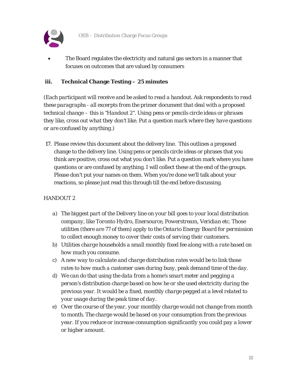

The Board regulates the electricity and natural gas sectors in a manner that focuses on outcomes that are valued by consumers

#### **iii. Technical Change Testing – 25 minutes**

*(Each participant will receive and be asked to read a handout. Ask respondents to read these paragraphs - all excerpts from the primer document that deal with a proposed technical change – this is "Handout 2". Using pens or pencils circle ideas or phrases they like, cross out what they don't like. Put a question mark where they have questions or are confused by anything.)* 

17. Please review this document about the delivery line. This outlines a proposed change to the delivery line. Using pens or pencils circle ideas or phrases that you think are positive, cross out what you don't like. Put a question mark where you have questions or are confused by anything. I will collect these at the end of the groups. Please don't put your names on them. When you're done we'll talk about your reactions, so please just read this through till the end before discussing.

#### *HANDOUT 2*

- *a) The biggest part of the Delivery line on your bill goes to your local distribution company, like Toronto Hydro, Enersource, Powerstream, Veridian etc. Those utilities (there are 77 of them) apply to the Ontario Energy Board for permission to collect enough money to cover their costs of serving their customers.*
- *b) Utilities charge households a small monthly fixed fee along with a rate based on how much you consume.*
- *c) A new way to calculate and charge distribution rates would be to link those rates to how much a customer uses during busy, peak demand time of the day.*
- *d) We can do that using the data from a home's smart meter and pegging a person's distribution charge based on how he or she used electricity during the previous year. It would be a fixed, monthly charge pegged at a level related to your usage during the peak time of day.*
- *e) Over the course of the year, your monthly charge would not change from month to month. The charge would be based on your consumption from the previous year. If you reduce or increase consumption significantly you could pay a lower or higher amount.*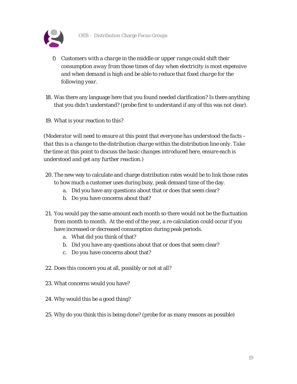

- *f) Customers with a charge in the middle or upper range could shift their consumption away from those times of day when electricity is most expensive and when demand is high and be able to reduce that fixed charge for the following year.*
- 18. Was there any language here that you found needed clarification? Is there anything that you didn't understand? (probe first to understand if any of this was not clear).
- 19. What is your reaction to this?

*(Moderator will need to ensure at this point that everyone has understood the facts – that this is a change to the distribution charge within the distribution line only. Take the time at this point to discuss the basic changes introduced here, ensure each is understood and get any further reaction.)*

- 20. The new way to calculate and charge distribution rates would be to link those rates to how much a customer uses during busy, peak demand time of the day.
	- a. Did you have any questions about that or does that seem clear?
	- b. Do you have concerns about that?
- 21. You would pay the same amount each month so there would not be the fluctuation from month to month. At the end of the year, a re-calculation could occur if you have increased or decreased consumption during peak periods.
	- a. What did you think of that?
	- b. Did you have any questions about that or does that seem clear?
	- c. Do you have concerns about that?
- 22. Does this concern you at all, possibly or not at all?
- 23. What concerns would you have?
- 24. Why would this be a good thing?
- 25. Why do you think this is being done? (probe for as many reasons as possible)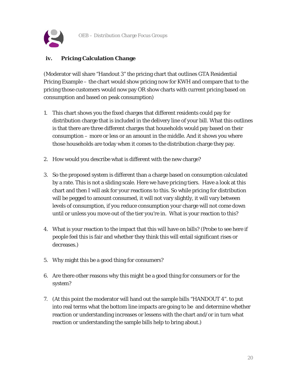

#### **iv. Pricing Calculation Change**

(Moderator will share "Handout 3" the pricing chart that outlines GTA Residential Pricing Example – the chart would show pricing now for KWH and compare that to the pricing those customers would now pay OR show charts with current pricing based on consumption and based on peak consumption)

- 1. This chart shows you the fixed charges that different residents could pay for distribution charge that is included in the delivery line of your bill. What this outlines is that there are three different charges that households would pay based on their consumption – more or less or an amount in the middle. And it shows you where those households are today when it comes to the distribution charge they pay.
- 2. How would you describe what is different with the new charge?
- 3. So the proposed system is different than a charge based on consumption calculated by a rate. This is not a sliding scale. Here we have pricing tiers. Have a look at this chart and then I will ask for your reactions to this. So while pricing for distribution will be pegged to amount consumed, it will not vary slightly, it will vary between levels of consumption, if you reduce consumption your charge will not come down until or unless you move out of the tier you're in. What is your reaction to this?
- 4. What is your reaction to the impact that this will have on bills? (Probe to see here if people feel this is fair and whether they think this will entail significant rises or decreases.)
- 5. Why might this be a good thing for consumers?
- 6. Are there other reasons why this might be a good thing for consumers or for the system?
- 7. (At this point the moderator will hand out the sample bills "HANDOUT 4". to put into real terms what the bottom line impacts are going to be and determine whether reaction or understanding increases or lessens with the chart and/or in turn what reaction or understanding the sample bills help to bring about.)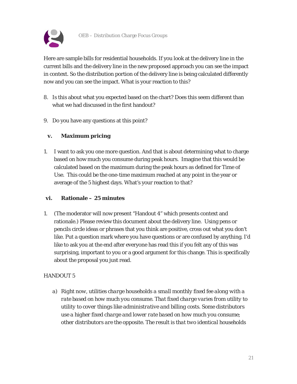

Here are sample bills for residential households. If you look at the delivery line in the current bills and the delivery line in the new proposed approach you can see the impact in context. So the distribution portion of the delivery line is being calculated differently now and you can see the impact. What is your reaction to this?

- 8. Is this about what you expected based on the chart? Does this seem different than what we had discussed in the first handout?
- 9. Do you have any questions at this point?

#### **v. Maximum pricing**

1. I want to ask you one more question. And that is about determining what to charge based on how much you consume during peak hours. Imagine that this would be calculated based on the maximum during the peak hours as defined for Time of Use. This could be the one-time maximum reached at any point in the year or average of the 5 highest days. What's your reaction to that?

#### **vi. Rationale – 25 minutes**

1. (The moderator will now present "Handout 4" which presents context and rationale.) Please review this document about the delivery line. Using pens or pencils circle ideas or phrases that you think are positive, cross out what you don't like. Put a question mark where you have questions or are confused by anything. I'd like to ask you at the end after everyone has read this if you felt any of this was surprising, important to you or a good argument for this change. This is specifically about the proposal you just read.

#### *HANDOUT 5*

*a) Right now, utilities charge households a small monthly fixed fee along with a rate based on how much you consume. That fixed charge varies from utility to utility to cover things like administrative and billing costs. Some distributors use a higher fixed charge and lower rate based on how much you consume; other distributors are the opposite. The result is that two identical households*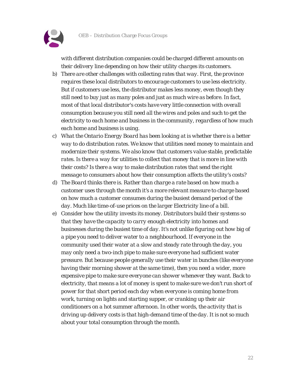

*with different distribution companies could be charged different amounts on their delivery line depending on how their utility charges its customers.*

- *b) There are other challenges with collecting rates that way. First, the province requires these local distributors to encourage customers to use less electricity. But if customers use less, the distributor makes less money, even though they still need to buy just as many poles and just as much wire as before. In fact, most of that local distributor's costs have very little connection with overall consumption because you still need all the wires and poles and such to get the electricity to each home and business in the community, regardless of how much each home and business is using.*
- *c) What the Ontario Energy Board has been looking at is whether there is a better way to do distribution rates. We know that utilities need money to maintain and modernize their systems. We also know that customers value stable, predictable rates. Is there a way for utilities to collect that money that is more in line with their costs? Is there a way to make distribution rates that send the right message to consumers about how their consumption affects the utility's costs?*
- *d) The Board thinks there is. Rather than charge a rate based on how much a customer uses through the month it's a more relevant measure to charge based on how much a customer consumes during the busiest demand period of the day. Much like time-of-use prices on the larger Electricity line of a bill.*
- *e) Consider how the utility invests its money. Distributors build their systems so that they have the capacity to carry enough electricity into homes and businesses during the busiest time of day. It's not unlike figuring out how big of a pipe you need to deliver water to a neighbourhood. If everyone in the community used their water at a slow and steady rate through the day, you may only need a two-inch pipe to make sure everyone had sufficient water pressure. But because people generally use their water in bunches (like everyone having their morning shower at the same time), then you need a wider, more expensive pipe to make sure everyone can shower whenever they want. Back to electricity, that means a lot of money is spent to make sure we don't run short of power for that short period each day when everyone is coming home from work, turning on lights and starting supper, or cranking up their air conditioners on a hot summer afternoon. In other words, the activity that is driving up delivery costs is that high-demand time of the day. It is not so much about your total consumption through the month.*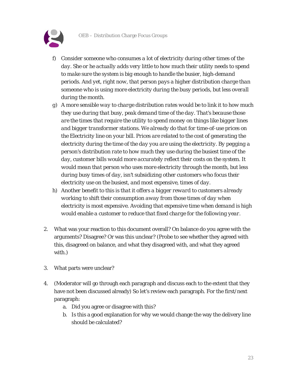

- *f) Consider someone who consumes a lot of electricity during other times of the day. She or he actually adds very little to how much their utility needs to spend to make sure the system is big enough to handle the busier, high-demand periods. And yet, right now, that person pays a higher distribution charge than someone who is using more electricity during the busy periods, but less overall during the month.*
- *g) A more sensible way to charge distribution rates would be to link it to how much they use during that busy, peak demand time of the day. That's because those are the times that require the utility to spend money on things like bigger lines and bigger transformer stations. We already do that for time-of-use prices on the Electricity line on your bill. Prices are related to the cost of generating the electricity during the time of the day you are using the electricity. By pegging a person's distribution rate to how much they use during the busiest time of the day, customer bills would more accurately reflect their costs on the system. It would mean that person who uses more electricity through the month, but less during busy times of day, isn't subsidizing other customers who focus their electricity use on the busiest, and most expensive, times of day.*
- *h) Another benefit to this is that it offers a bigger reward to customers already working to shift their consumption away from those times of day when electricity is most expensive. Avoiding that expensive time when demand is high would enable a customer to reduce that fixed charge for the following year.*
- 2. What was your reaction to this document overall? On balance do you agree with the arguments? Disagree? Or was this unclear? (Probe to see whether they agreed with this, disagreed on balance, and what they disagreed with, and what they agreed with.)
- 3. What parts were unclear?
- 4. (Moderator will go through each paragraph and discuss each to the extent that they have not been discussed already) So let's review each paragraph. For the first/next paragraph:
	- a. Did you agree or disagree with this?
	- b. Is this a good explanation for why we would change the way the delivery line should be calculated?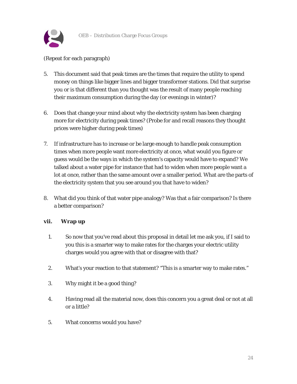

#### (Repeat for each paragraph)

- 5. This document said that peak times are the times that require the utility to spend money on things like bigger lines and bigger transformer stations. Did that surprise you or is that different than you thought was the result of many people reaching their maximum consumption during the day (or evenings in winter)?
- 6. Does that change your mind about why the electricity system has been charging more for electricity during peak times? (Probe for and recall reasons they thought prices were higher during peak times)
- 7. If infrastructure has to increase or be large enough to handle peak consumption times when more people want more electricity at once, what would you figure or guess would be the ways in which the system's capacity would have to expand? We talked about a water pipe for instance that had to widen when more people want a lot at once, rather than the same amount over a smaller period. What are the parts of the electricity system that you see around you that have to widen?
- 8. What did you think of that water pipe analogy? Was that a fair comparison? Is there a better comparison?

#### **vii. Wrap up**

- 1. So now that you've read about this proposal in detail let me ask you, if I said to you this is a smarter way to make rates for the charges your electric utility charges would you agree with that or disagree with that?
- 2. What's your reaction to that statement? "This is a smarter way to make rates."
- 3. Why might it be a good thing?
- 4. Having read all the material now, does this concern you a great deal or not at all or a little?
- 5. What concerns would you have?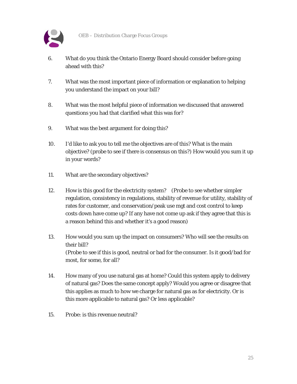

- 6. What do you think the Ontario Energy Board should consider before going ahead with this?
- 7. What was the most important piece of information or explanation to helping you understand the impact on your bill?
- 8. What was the most helpful piece of information we discussed that answered questions you had that clarified what this was for?
- 9. What was the best argument for doing this?
- 10. I'd like to ask you to tell me the objectives are of this? What is the main objective? (probe to see if there is consensus on this?) How would you sum it up in your words?
- 11. What are the secondary objectives?
- 12. How is this good for the electricity system? (Probe to see whether simpler regulation, consistency in regulations, stability of revenue for utility, stability of rates for customer, and conservation/peak use mgt and cost control to keep costs down have come up? If any have not come up ask if they agree that this is a reason behind this and whether it's a good reason)
- 13. How would you sum up the impact on consumers? Who will see the results on their bill? (Probe to see if this is good, neutral or bad for the consumer. Is it good/bad for most, for some, for all?
- 14. How many of you use natural gas at home? Could this system apply to delivery of natural gas? Does the same concept apply? Would you agree or disagree that this applies as much to how we charge for natural gas as for electricity. Or is this more applicable to natural gas? Or less applicable?
- 15. Probe: is this revenue neutral?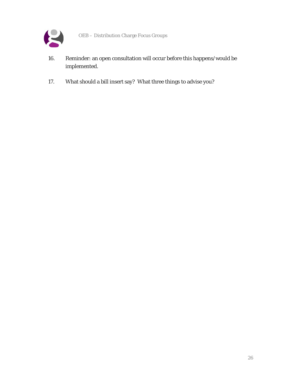

- 16. Reminder: an open consultation will occur before this happens/would be implemented.
- 17. What should a bill insert say? What three things to advise you?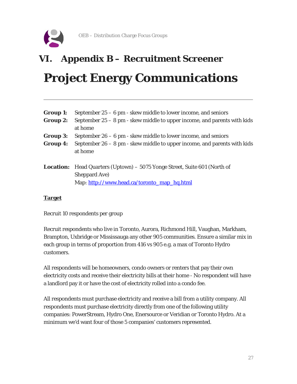

# <span id="page-26-0"></span>**VI. Appendix B – Recruitment Screener Project Energy Communications**

| <b>Group 1:</b> | September $25 - 6$ pm - skew middle to lower income, and seniors                 |
|-----------------|----------------------------------------------------------------------------------|
| Group 2:        | September $25 - 8$ pm - skew middle to upper income, and parents with kids       |
|                 | at home                                                                          |
| <b>Group 3:</b> | September $26 - 6$ pm - skew middle to lower income, and seniors                 |
| <b>Group 4:</b> | September $26 - 8$ pm - skew middle to upper income, and parents with kids       |
|                 | at home                                                                          |
|                 | <b>Location:</b> Head Quarters (Uptown) – 5075 Yonge Street, Suite 601 (North of |
|                 | Sheppard Ave)                                                                    |
|                 | Map: http://www.head.ca/toronto map hq.html                                      |

#### **Target**

Recruit 10 respondents per group

Recruit respondents who live in Toronto, Aurora, Richmond Hill, Vaughan, Markham, Brampton, Uxbridge or Mississauga any other 905 communities. Ensure a similar mix in each group in terms of proportion from 416 vs 905 e.g. a max of Toronto Hydro customers.

All respondents will be homeowners, condo owners or renters that pay their own electricity costs and receive their electricity bills at their home - No respondent will have a landlord pay it or have the cost of electricity rolled into a condo fee.

All respondents must purchase electricity and receive a bill from a utility company. All respondents must purchase electricity directly from one of the following utility companies: PowerStream, Hydro One, Enersource or Veridian or Toronto Hydro. At a minimum we'd want four of those 5 companies' customers represented.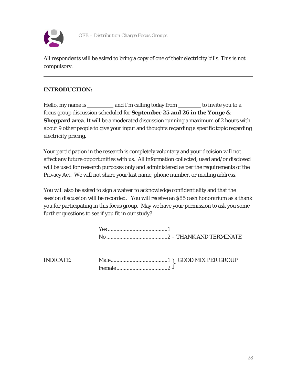

All respondents will be asked to bring a copy of one of their electricity bills. This is not compulsory.

#### **INTRODUCTION:**

Hello, my name is \_\_\_\_\_\_\_\_\_\_ and I'm calling today from \_\_\_\_\_\_\_\_ to invite you to a focus group discussion scheduled for **September 25 and 26 in the Yonge & Sheppard area**. It will be a moderated discussion running a maximum of 2 hours with about 9 other people to give your input and thoughts regarding a specific topic regarding electricity pricing.

Your participation in the research is completely voluntary and your decision will not affect any future opportunities with us. All information collected, used and/or disclosed will be used for research purposes only and administered as per the requirements of the Privacy Act. We will not share your last name, phone number, or mailing address.

You will also be asked to sign a waiver to acknowledge confidentiality and that the session discussion will be recorded. You will receive an \$85 cash honorarium as a thank you for participating in this focus group. May we have your permission to ask you some further questions to see if you fit in our study?

| <b>INDICATE:</b> |  |
|------------------|--|
|                  |  |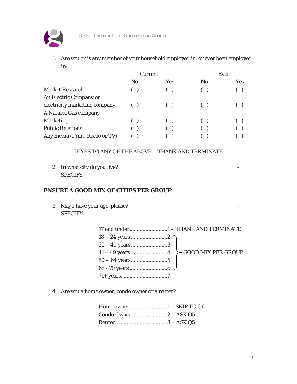

1. Are you or is any member of your household employed in, or ever been employed in:

|                                | Current                |            | Ever           |            |
|--------------------------------|------------------------|------------|----------------|------------|
|                                | N <sub>0</sub>         | <b>Yes</b> | N <sub>0</sub> | <b>Yes</b> |
| <b>Market Research</b>         |                        |            |                |            |
| An Electric Company or         |                        |            |                |            |
| electricity marketing company  |                        |            |                |            |
| A Natural Gas company          |                        |            |                |            |
| <b>Marketing</b>               | $\left( \quad \right)$ |            |                |            |
| <b>Public Relations</b>        |                        |            |                |            |
| Any media (Print, Radio or TV) |                        |            |                |            |

#### IF YES TO ANY OF THE ABOVE – THANK AND TERMINATE

2. In what city do you live? \_\_\_\_\_\_\_\_\_\_\_\_\_\_\_\_\_\_\_\_\_\_\_\_\_\_\_ - **SPECIFY** 

#### **ENSURE A GOOD MIX OF CITIES PER GROUP**

3. May I have your age, please? \_\_\_\_\_\_\_\_\_\_\_\_\_\_\_\_\_\_\_\_\_\_\_\_\_\_\_ - **SPECIFY** 

| $25 - 40$ years3 |  |
|------------------|--|
|                  |  |
|                  |  |
|                  |  |
|                  |  |

4. Are you a home owner, condo owner or a renter?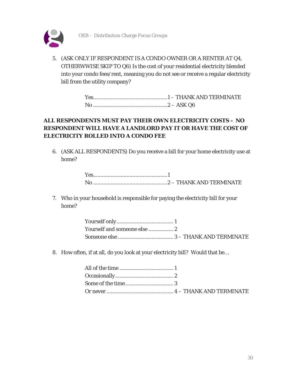



5. (ASK ONLY IF RESPONDENT IS A CONDO OWNER OR A RENTER AT Q4, OTHERWWISE SKIP TO Q6) Is the cost of your residential electricity blended into your condo fees/rent, meaning you do not see or receive a regular electricity bill from the utility company?

#### **ALL RESPONDENTS MUST PAY THEIR OWN ELECTRICITY COSTS – NO RESPONDENT WILL HAVE A LANDLORD PAY IT OR HAVE THE COST OF ELECTRICITY ROLLED INTO A CONDO FEE**

6. (ASK ALL RESPONDENTS) Do you receive a bill for your home electricity use at home?

7. Who in your household is responsible for paying the electricity bill for your home?

8. How often, if at all, do you look at your electricity bill? Would that be…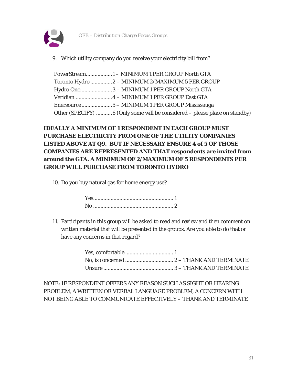

9. Which utility company do you receive your electricity bill from?

| Toronto Hydro  2 - MINIMUM 2/MAXIMUM 5 PER GROUP                           |
|----------------------------------------------------------------------------|
| Hydro One3 - MINIMUM 1 PER GROUP North GTA                                 |
|                                                                            |
|                                                                            |
| Other (SPECIFY) 6 (Only some will be considered – please place on standby) |

#### **IDEALLY A MINIMUM OF 1 RESPONDENT IN EACH GROUP MUST PURCHASE ELECTRICITY FROM ONE OF THE UTILITY COMPANIES LISTED ABOVE AT Q9. BUT IF NECESSARY ENSURE 4 of 5 OF THOSE COMPANIES ARE REPRESENTED AND THAT respondents are invited from around the GTA. A MINIMUM OF 2/MAXIMUM OF 5 RESPONDENTS PER GROUP WILL PURCHASE FROM TORONTO HYDRO**

10. Do you buy natural gas for home energy use?

11. Participants in this group will be asked to read and review and then comment on written material that will be presented in the groups. Are you able to do that or have any concerns in that regard?

NOTE: IF RESPONDENT OFFERS ANY REASON SUCH AS SIGHT OR HEARING PROBLEM, A WRITTEN OR VERBAL LANGUAGE PROBLEM, A CONCERN WITH NOT BEING ABLE TO COMMUNICATE EFFECTIVELY – THANK AND TERMINATE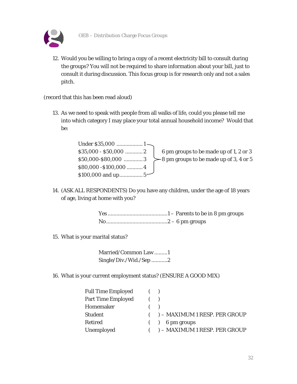

12. Would you be willing to bring a copy of a recent electricity bill to consult during the groups? You will not be required to share information about your bill, just to consult it during discussion. This focus group is for research only and not a sales pitch.

(record that this has been read aloud)

13. As we need to speak with people from all walks of life, could you please tell me into which category I may place your total annual household income? Would that be:

| $$35,000 - $50,000$ 2  | 6 pm groups to be made up of 1, 2 or 3    |
|------------------------|-------------------------------------------|
| \$50,000-\$80,000 3    | $>8$ pm groups to be made up of 3, 4 or 5 |
| $$80,000 - $100,000$ 4 |                                           |
|                        |                                           |

14. (ASK ALL RESPONDENTS) Do you have any children, under the age of 18 years of age, living at home with you?

15. What is your marital status?

Married/Common Law .........1 Single/Div./Wid./Sep ...........2

16. What is your current employment status? (ENSURE A GOOD MIX)

| <b>Full Time Employed</b> | ( |                                   |
|---------------------------|---|-----------------------------------|
| <b>Part Time Employed</b> | ( |                                   |
| Homemaker                 | ( |                                   |
| <b>Student</b>            |   | $($ ) – MAXIMUM 1 RESP. PER GROUP |
| <b>Retired</b>            |   | $($ $)$ 6 pm groups               |
| Unemployed                |   | $($ ) – MAXIMUM 1 RESP. PER GROUP |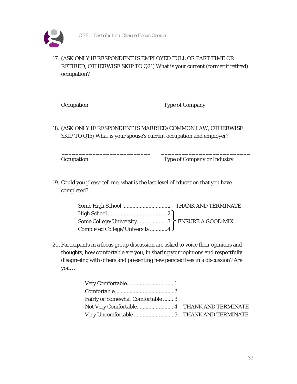

#### 17. (ASK ONLY IF RESPONDENT IS EMPLOYED FULL OR PART TIME OR RETIRED, OTHERWISE SKIP TO Q21) What is your current (former if retired) occupation?

\_\_\_\_\_\_\_\_\_\_\_\_\_\_\_\_\_\_\_\_\_\_\_\_\_\_ \_\_\_\_\_\_\_\_\_\_\_\_\_\_\_\_\_\_\_\_\_\_\_\_\_\_

\_\_\_\_\_\_\_\_\_\_\_\_\_\_\_\_\_\_\_\_\_\_\_\_\_\_ \_\_\_\_\_\_\_\_\_\_\_\_\_\_\_\_\_\_\_\_\_\_\_\_\_\_

Occupation Type of Company

18. (ASK ONLY IF RESPONDENT IS MARRIED/COMMON LAW, OTHERWISE SKIP TO Q15) What is your spouse's current occupation and employer?

Occupation Type of Company or Industry

19. Could you please tell me, what is the last level of education that you have completed?

| Completed College/University4 |  |
|-------------------------------|--|

20. Participants in a focus group discussion are asked to voice their opinions and thoughts, how comfortable are you, in sharing your opinions and respectfully disagreeing with others and presenting new perspectives in a discussion? Are you….

| <b>Fairly or Somewhat Comfortable  3</b> |  |
|------------------------------------------|--|
|                                          |  |
|                                          |  |